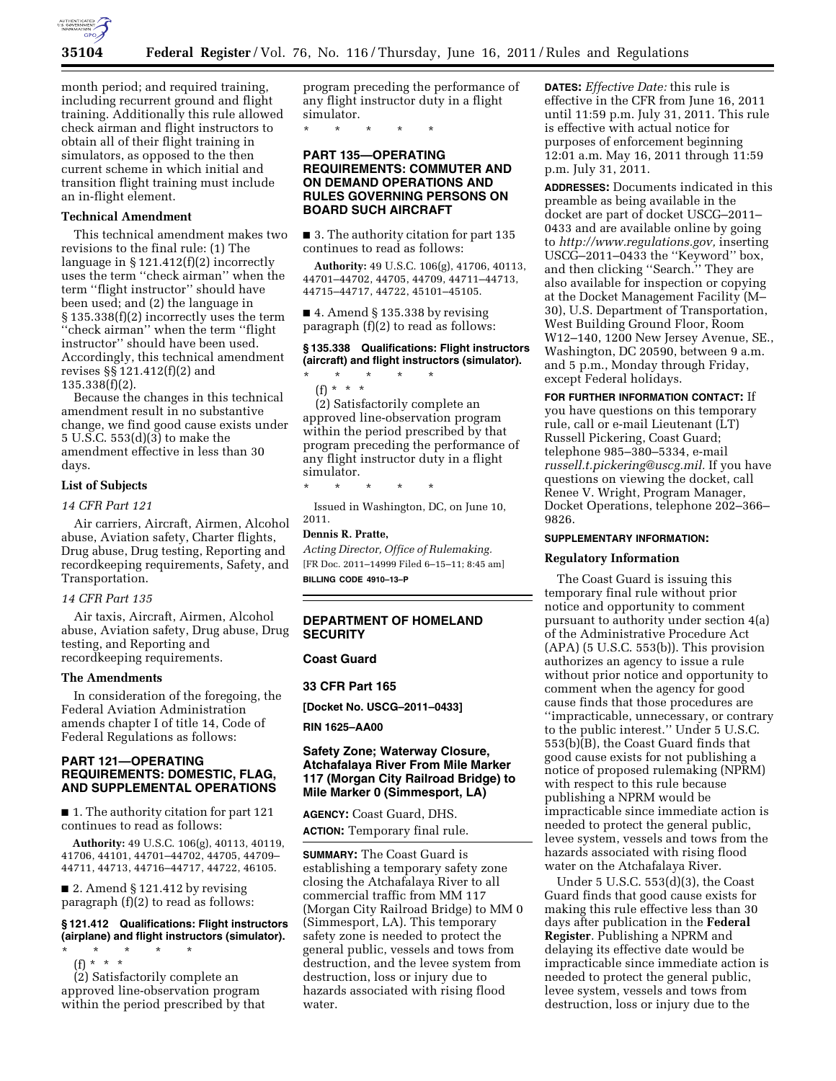

month period; and required training, including recurrent ground and flight training. Additionally this rule allowed check airman and flight instructors to obtain all of their flight training in simulators, as opposed to the then current scheme in which initial and transition flight training must include an in-flight element.

#### **Technical Amendment**

This technical amendment makes two revisions to the final rule: (1) The language in § 121.412(f)(2) incorrectly uses the term ''check airman'' when the term ''flight instructor'' should have been used; and (2) the language in § 135.338(f)(2) incorrectly uses the term ''check airman'' when the term ''flight instructor'' should have been used. Accordingly, this technical amendment revises §§ 121.412(f)(2) and 135.338(f)(2).

Because the changes in this technical amendment result in no substantive change, we find good cause exists under 5 U.S.C. 553(d)(3) to make the amendment effective in less than 30 days.

## **List of Subjects**

*14 CFR Part 121* 

Air carriers, Aircraft, Airmen, Alcohol abuse, Aviation safety, Charter flights, Drug abuse, Drug testing, Reporting and recordkeeping requirements, Safety, and Transportation.

## *14 CFR Part 135*

Air taxis, Aircraft, Airmen, Alcohol abuse, Aviation safety, Drug abuse, Drug testing, and Reporting and recordkeeping requirements.

### **The Amendments**

In consideration of the foregoing, the Federal Aviation Administration amends chapter I of title 14, Code of Federal Regulations as follows:

## **PART 121—OPERATING REQUIREMENTS: DOMESTIC, FLAG, AND SUPPLEMENTAL OPERATIONS**

■ 1. The authority citation for part 121 continues to read as follows:

**Authority:** 49 U.S.C. 106(g), 40113, 40119, 41706, 44101, 44701–44702, 44705, 44709– 44711, 44713, 44716–44717, 44722, 46105.

■ 2. Amend § 121.412 by revising paragraph (f)(2) to read as follows:

**§ 121.412 Qualifications: Flight instructors (airplane) and flight instructors (simulator).** 

\* \* \* \* \* (f) \* \* \*

(2) Satisfactorily complete an approved line-observation program within the period prescribed by that

program preceding the performance of any flight instructor duty in a flight simulator.

\* \* \* \* \*

## **PART 135—OPERATING REQUIREMENTS: COMMUTER AND ON DEMAND OPERATIONS AND RULES GOVERNING PERSONS ON BOARD SUCH AIRCRAFT**

■ 3. The authority citation for part 135 continues to read as follows:

**Authority:** 49 U.S.C. 106(g), 41706, 40113, 44701–44702, 44705, 44709, 44711–44713, 44715–44717, 44722, 45101–45105.

 $\blacksquare$  4. Amend § 135.338 by revising paragraph (f)(2) to read as follows:

#### **§ 135.338 Qualifications: Flight instructors (aircraft) and flight instructors (simulator).**

\* \* \* \* \* (f) \* \* \*

(2) Satisfactorily complete an approved line-observation program within the period prescribed by that program preceding the performance of any flight instructor duty in a flight simulator.

\* \* \* \* \*

Issued in Washington, DC, on June 10, 2011.

#### **Dennis R. Pratte,**

*Acting Director, Office of Rulemaking.*  [FR Doc. 2011–14999 Filed 6–15–11; 8:45 am] **BILLING CODE 4910–13–P** 

## **DEPARTMENT OF HOMELAND SECURITY**

## **Coast Guard**

**33 CFR Part 165** 

**[Docket No. USCG–2011–0433]** 

**RIN 1625–AA00** 

### **Safety Zone; Waterway Closure, Atchafalaya River From Mile Marker 117 (Morgan City Railroad Bridge) to Mile Marker 0 (Simmesport, LA)**

**AGENCY:** Coast Guard, DHS.

**ACTION:** Temporary final rule.

**SUMMARY:** The Coast Guard is establishing a temporary safety zone closing the Atchafalaya River to all commercial traffic from MM 117 (Morgan City Railroad Bridge) to MM 0 (Simmesport, LA). This temporary safety zone is needed to protect the general public, vessels and tows from destruction, and the levee system from destruction, loss or injury due to hazards associated with rising flood water.

**DATES:** *Effective Date:* this rule is effective in the CFR from June 16, 2011 until 11:59 p.m. July 31, 2011. This rule is effective with actual notice for purposes of enforcement beginning 12:01 a.m. May 16, 2011 through 11:59 p.m. July 31, 2011.

**ADDRESSES:** Documents indicated in this preamble as being available in the docket are part of docket USCG–2011– 0433 and are available online by going to *[http://www.regulations.gov,](http://www.regulations.gov)* inserting USCG–2011–0433 the ''Keyword'' box, and then clicking ''Search.'' They are also available for inspection or copying at the Docket Management Facility (M– 30), U.S. Department of Transportation, West Building Ground Floor, Room W12–140, 1200 New Jersey Avenue, SE., Washington, DC 20590, between 9 a.m. and 5 p.m., Monday through Friday, except Federal holidays.

**FOR FURTHER INFORMATION CONTACT:** If you have questions on this temporary rule, call or e-mail Lieutenant (LT) Russell Pickering, Coast Guard; telephone 985–380–5334, e-mail *[russell.t.pickering@uscg.mil.](mailto:russell.t.pickering@uscg.mil)* If you have questions on viewing the docket, call Renee V. Wright, Program Manager, Docket Operations, telephone 202–366–

## **SUPPLEMENTARY INFORMATION:**

#### **Regulatory Information**

9826.

The Coast Guard is issuing this temporary final rule without prior notice and opportunity to comment pursuant to authority under section 4(a) of the Administrative Procedure Act  $(APA)$  (5 U.S.C. 553(b)). This provision authorizes an agency to issue a rule without prior notice and opportunity to comment when the agency for good cause finds that those procedures are ''impracticable, unnecessary, or contrary to the public interest.'' Under 5 U.S.C. 553(b)(B), the Coast Guard finds that good cause exists for not publishing a notice of proposed rulemaking (NPRM) with respect to this rule because publishing a NPRM would be impracticable since immediate action is needed to protect the general public, levee system, vessels and tows from the hazards associated with rising flood water on the Atchafalaya River.

Under 5 U.S.C. 553(d)(3), the Coast Guard finds that good cause exists for making this rule effective less than 30 days after publication in the **Federal Register**. Publishing a NPRM and delaying its effective date would be impracticable since immediate action is needed to protect the general public, levee system, vessels and tows from destruction, loss or injury due to the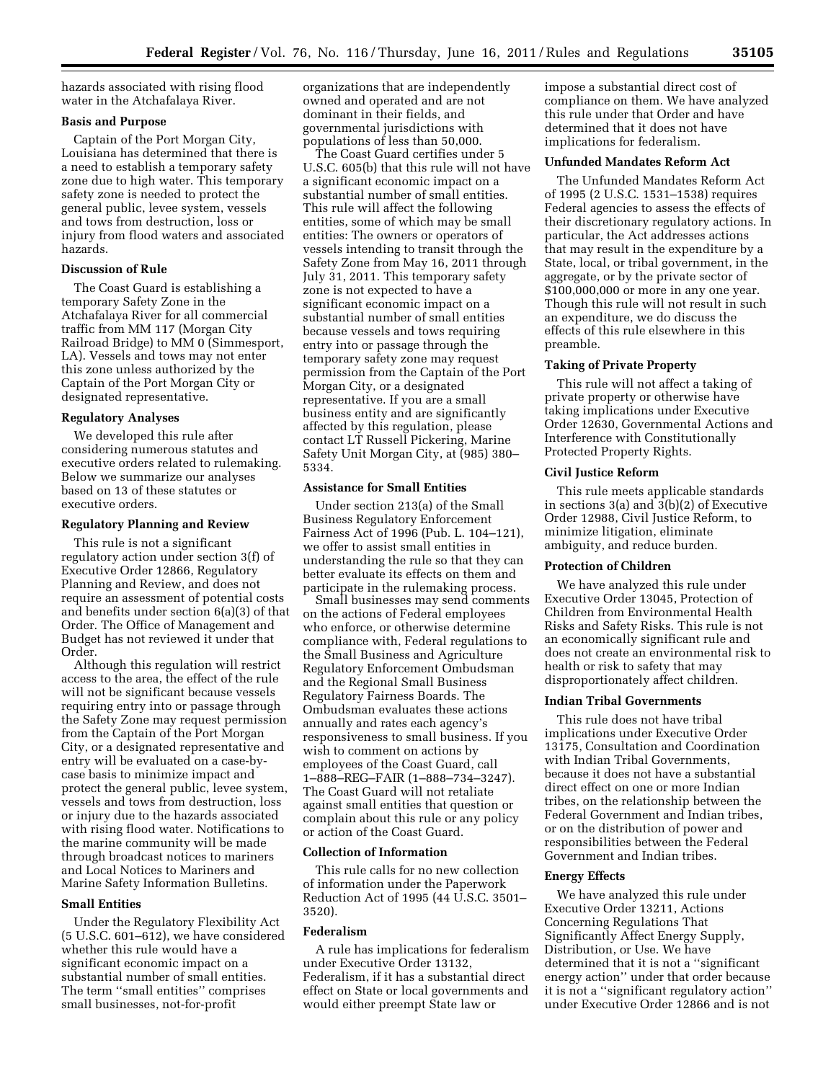hazards associated with rising flood water in the Atchafalaya River.

## **Basis and Purpose**

Captain of the Port Morgan City, Louisiana has determined that there is a need to establish a temporary safety zone due to high water. This temporary safety zone is needed to protect the general public, levee system, vessels and tows from destruction, loss or injury from flood waters and associated hazards.

## **Discussion of Rule**

The Coast Guard is establishing a temporary Safety Zone in the Atchafalaya River for all commercial traffic from MM 117 (Morgan City Railroad Bridge) to MM 0 (Simmesport, LA). Vessels and tows may not enter this zone unless authorized by the Captain of the Port Morgan City or designated representative.

#### **Regulatory Analyses**

We developed this rule after considering numerous statutes and executive orders related to rulemaking. Below we summarize our analyses based on 13 of these statutes or executive orders.

#### **Regulatory Planning and Review**

This rule is not a significant regulatory action under section 3(f) of Executive Order 12866, Regulatory Planning and Review, and does not require an assessment of potential costs and benefits under section 6(a)(3) of that Order. The Office of Management and Budget has not reviewed it under that Order.

Although this regulation will restrict access to the area, the effect of the rule will not be significant because vessels requiring entry into or passage through the Safety Zone may request permission from the Captain of the Port Morgan City, or a designated representative and entry will be evaluated on a case-bycase basis to minimize impact and protect the general public, levee system, vessels and tows from destruction, loss or injury due to the hazards associated with rising flood water. Notifications to the marine community will be made through broadcast notices to mariners and Local Notices to Mariners and Marine Safety Information Bulletins.

#### **Small Entities**

Under the Regulatory Flexibility Act (5 U.S.C. 601–612), we have considered whether this rule would have a significant economic impact on a substantial number of small entities. The term ''small entities'' comprises small businesses, not-for-profit

organizations that are independently owned and operated and are not dominant in their fields, and governmental jurisdictions with populations of less than 50,000.

The Coast Guard certifies under 5 U.S.C. 605(b) that this rule will not have a significant economic impact on a substantial number of small entities. This rule will affect the following entities, some of which may be small entities: The owners or operators of vessels intending to transit through the Safety Zone from May 16, 2011 through July 31, 2011. This temporary safety zone is not expected to have a significant economic impact on a substantial number of small entities because vessels and tows requiring entry into or passage through the temporary safety zone may request permission from the Captain of the Port Morgan City, or a designated representative. If you are a small business entity and are significantly affected by this regulation, please contact LT Russell Pickering, Marine Safety Unit Morgan City, at (985) 380– 5334.

## **Assistance for Small Entities**

Under section 213(a) of the Small Business Regulatory Enforcement Fairness Act of 1996 (Pub. L. 104–121), we offer to assist small entities in understanding the rule so that they can better evaluate its effects on them and participate in the rulemaking process.

Small businesses may send comments on the actions of Federal employees who enforce, or otherwise determine compliance with, Federal regulations to the Small Business and Agriculture Regulatory Enforcement Ombudsman and the Regional Small Business Regulatory Fairness Boards. The Ombudsman evaluates these actions annually and rates each agency's responsiveness to small business. If you wish to comment on actions by employees of the Coast Guard, call 1–888–REG–FAIR (1–888–734–3247). The Coast Guard will not retaliate against small entities that question or complain about this rule or any policy or action of the Coast Guard.

#### **Collection of Information**

This rule calls for no new collection of information under the Paperwork Reduction Act of 1995 (44 U.S.C. 3501– 3520).

### **Federalism**

A rule has implications for federalism under Executive Order 13132, Federalism, if it has a substantial direct effect on State or local governments and would either preempt State law or

impose a substantial direct cost of compliance on them. We have analyzed this rule under that Order and have determined that it does not have implications for federalism.

#### **Unfunded Mandates Reform Act**

The Unfunded Mandates Reform Act of 1995 (2 U.S.C. 1531–1538) requires Federal agencies to assess the effects of their discretionary regulatory actions. In particular, the Act addresses actions that may result in the expenditure by a State, local, or tribal government, in the aggregate, or by the private sector of \$100,000,000 or more in any one year. Though this rule will not result in such an expenditure, we do discuss the effects of this rule elsewhere in this preamble.

### **Taking of Private Property**

This rule will not affect a taking of private property or otherwise have taking implications under Executive Order 12630, Governmental Actions and Interference with Constitutionally Protected Property Rights.

## **Civil Justice Reform**

This rule meets applicable standards in sections 3(a) and 3(b)(2) of Executive Order 12988, Civil Justice Reform, to minimize litigation, eliminate ambiguity, and reduce burden.

## **Protection of Children**

We have analyzed this rule under Executive Order 13045, Protection of Children from Environmental Health Risks and Safety Risks. This rule is not an economically significant rule and does not create an environmental risk to health or risk to safety that may disproportionately affect children.

#### **Indian Tribal Governments**

This rule does not have tribal implications under Executive Order 13175, Consultation and Coordination with Indian Tribal Governments, because it does not have a substantial direct effect on one or more Indian tribes, on the relationship between the Federal Government and Indian tribes, or on the distribution of power and responsibilities between the Federal Government and Indian tribes.

# **Energy Effects**

We have analyzed this rule under Executive Order 13211, Actions Concerning Regulations That Significantly Affect Energy Supply, Distribution, or Use. We have determined that it is not a ''significant energy action'' under that order because it is not a ''significant regulatory action'' under Executive Order 12866 and is not